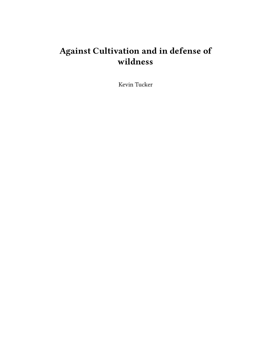# **Against Cultivation and in defense of wildness**

Kevin Tucker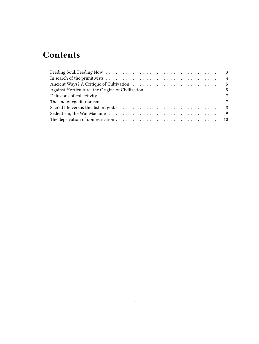## **Contents**

| $\overline{9}$ |
|----------------|
|                |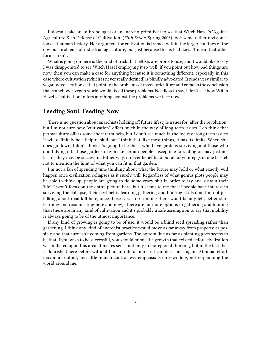It doesn't take an anthropologist or an anarcho-primitivist to see that Witch Hazel's 'Against Agriculture & in Defense of Cultivation' (*Fifth Estate*, Spring 2003) took some rather revisionist looks at human history. Her argument for cultivation is framed within the larger confines of the obvious problems of industrial agriculture, but just because this is bad doesn't mean that other forms aren't.

What is going on here is the kind of trick that leftists are prone to use, and I would like to say I was disappointed to see Witch Hazel employing it so well. If you point out how bad things are now, then you can make a case for anything because it is something different, especially in this case where cultivation (which is never really defined) is blindly advocated. It reads very similar to vegan-advocacy books that point to the problems of mass agriculture and come to the conclusion that somehow a vegan world would fix all these problems. Needless to say, I don't see how Witch Hazel's 'cultivation' offers anything against the problems we face now.

#### <span id="page-2-0"></span>**Feeding Soul, Feeding Now**

There is no question about anarchists holding off future lifestyle issues for 'after the revolution', but I'm not sure how "cultivation" offers much in the way of long term issues. I do think that permaculture offers some short term help, but I don't see much in the focus of long term issues. It will definitely be a helpful skill, but I think that, like most things, it has its limits. When shit does go down, I don't think it's going to be those who have gardens surviving and those who don't dying off. Those gardens may make certain people susceptible to raiding or may just not last or they may be successful. Either way, it never benefits to put all of your eggs in one basket, not to mention the limit of what you can fit in that garden.

I'm not a fan of spending time thinking about what the future may hold or what exactly will happen once civilization collapses as it surely will. Regardless of what genius plots people may be able to think up, people are going to do some crazy shit in order to try and sustain their 'life'. I won't focus on the entire picture here, but it seems to me that if people have interest in surviving the collapse, their best bet is learning gathering and hunting skills (and I'm not just talking about road kill here, once those cars stop running there won't be any left, better start learning and reconnecting here and now). There are far more options in gathering and hunting than there are in any kind of cultivation and it's probably a safe assumption to say that mobility is always going to be of the utmost importance.

If any kind of growing is going to be of use, it would be a blind seed spreading rather than gardening. I think any kind of anarchist practice would move as far away from property as possible and that sure isn't coming from gardens. The bottom line as far as planting goes seems to be that if you wish to be successful, you should mimic the growth that existed before civilization was inflicted upon this area. It makes sense not only in bioregional thinking, but in the fact that it flourished here before without human interaction so it can do it once again. Minimal effort, maximum output, and little human control. My emphasis is on rewilding, not re-planning the world around me.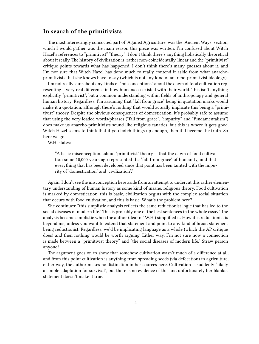#### <span id="page-3-0"></span>**In search of the primitivists**

The most interestingly concocted part of 'Against Agriculture' was the 'Ancient Ways' section, which I would gather was the main reason this piece was written. I'm confused about Witch Hazel's references to "primitivist" "theory"; I don't think there's anything holistically theoretical about it really. The history of civilization is, rather non-coincidentally, linear and the "primitivist" critique points towards what has happened. I don't think there's many guesses about it, and I'm not sure that Witch Hazel has done much to really contend it aside from what anarchoprimitivists that she knows have to say (which is not any kind of anarcho-primitivist ideology).

I'm not really sure about any kinds of "misconceptions" about the dawn of food cultivation representing a very real difference in how humans co-existed with their world. This isn't anything explicitly "primitivist", but a common understanding within fields of anthropology and general human history. Regardless, I'm assuming that "fall from grace" being in quotation marks would make it a quotation, although there's nothing that would actually implicate this being a "primitivist" theory. Despite the obvious consequences of domestication, it's probably safe to assume that using the very loaded words/phrases ("fall from grace", "impurity" and "fundamentalism") does make us anarcho-primitivists sound like religious fanatics, but this is where it gets good. Witch Hazel seems to think that if you botch things up enough, then it'll become the truth. So here we go.

W.H. states:

"A basic misconception…about 'primitivist' theory is that the dawn of food cultivation some 10,000 years ago represented the 'fall from grace' of humanity, and that everything that has been developed since that point has been tainted with the impurity of 'domestication' and 'civilization'."

Again, I don't see the misconception here aside from an attempt to undercut this rather elementary understanding of human history as some kind of insane, religious theory. Food cultivation is marked by domestication, this is basic, civilization begins with the complex social situation that occurs with food cultivation, and this is basic. What's the problem here?

She continues: "this simplistic analysis reflects the same reductionist logic that has led to the social diseases of modern life." This is probably one of the best sentences in the whole essay! The analysis became simplistic when the author (dear ol' W.H.) simplified it. How it is reductionist is beyond me, unless you want to extend that statement and point to any kind of broad statement being reductionist. Regardless, we'd be implicating language as a whole (which the AP critique does) and then nothing would be worth arguing. Either way, I'm not sure how a connection is made between a "primitivist theory" and "the social diseases of modern life." Straw person anyone?

The argument goes on to show that somehow cultivation wasn't much of a difference at all, and from this point cultivation is anything from spreading seeds (via defecation) to agriculture, either way, the author makes no distinction in her sources here. Cultivation is suddenly "likely a simple adaptation for survival", but there is no evidence of this and unfortunately her blanket statement doesn't make it true.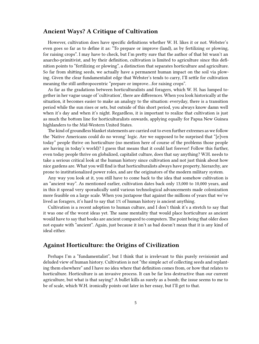#### <span id="page-4-0"></span>**Ancient Ways? A Critique of Cultivation**

However, cultivation does have specific definitions whether W. H. likes it or not. Webster's even goes so far as to define it as: "To prepare or improve (land), as by fertilizing or plowing, for raising crops". I may have to check, but I'm pretty sure that the author of that bit wasn't an anarcho-primitivist, and by their definition, cultivation is limited to agriculture since this definition points to "fertilizing or plowing", a distinction that separates horticulture and agriculture. So far from shitting seeds, we actually have a permanent human impact on the soil via plowing. Given the clear fundamentalist edge that Webster's tends to carry, I'll settle for cultivation meaning the still anthropocentric "prepare or improve…for raising crops".

As far as the gradations between horticulturalists and foragers, which W. H. has lumped together in her vague usage of 'cultivation', there are differences. When you look historically at the situation, it becomes easier to make an analogy to the situation: everyday, there is a transition period while the sun rises or sets, but outside of this short period, you always know damn well when it's day and when it's night. Regardless, it is important to realize that cultivation is just as much the bottom line for horticulturalists onwards, applying equally for Papua New Guinea highlanders to the Mid-Western United States.

The kind of groundless blanket statements are carried out to even further extremes as we follow the 'Native Americans could do no wrong' logic. Are we supposed to be surprised that "[e]ven today" people thrive on horticulture (no mention here of course of the problems those people are having in today's world)? I guess that means that it could last forever! Follow this further, even today people thrive on globalized, capitalist culture, does that say anything? W.H. needs to take a serious critical look at the human history since cultivation and not just think about how nice gardens are. What you will find is that horticulturalists always have property, hierarchy, are prone to institutionalized power roles, and are the originators of the modern military system.

Any way you look at it, you still have to come back to the idea that somehow cultivation is an "ancient way". As mentioned earlier, cultivation dates back only 13,000 to 10,000 years, and in this it spread very sporadically until various technological advancements made colonization more feasible on a large scale. When you juxtapose that against the millions of years that we've lived as foragers, it's hard to say that 1% of human history is ancient anything.

Cultivation is a recent adoption to human culture, and I don't think it's a stretch to say that it was one of the worst ideas yet. The same mentality that would place horticulture as ancient would have to say that books are ancient compared to computers. The point being that older does not equate with "ancient". Again, just because it isn't as bad doesn't mean that it is any kind of ideal either.

#### <span id="page-4-1"></span>**Against Horticulture: the Origins of Civilization**

Perhaps I'm a "fundamentalist", but I think that is irrelevant to this purely revisionist and deluded view of human history. Cultivation is not "the simple act of collecting seeds and replanting them elsewhere" and I have no idea where that definition comes from, or how that relates to horticulture. Horticulture is an invasive process. It can be far less destructive than our current agriculture, but what is that saying? A bullet kills as surely as a bomb; the issue seems to me to be of scale, which W.H. ironically points out later in her essay, but I'll get to that.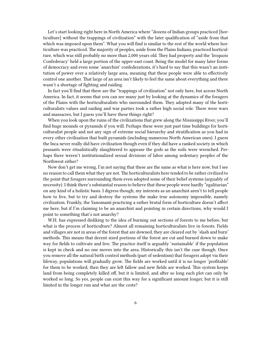Let's start looking right here in North America where "dozens of Indian groups practiced [horticulture] without the trappings of civilization" with the later qualification of "aside from that which was imposed upon them". What you will find is similar to the rest of the world where horticulture was practiced. The majority of peoples, aside from the Plains Indians, practiced horticulture, which was still probably no more than 2,000 years old. They had property and the 'Iroquois Confederacy' held a large portion of the upper-east coast. Being the model for many later forms of democracy and even some 'anarchist' confederations, it's hard to say that this wasn't an institution of power over a relatively large area, meaning that these people were able to effectively control one another. That large of an area isn't likely to feel the same about everything and there wasn't a shortage of fighting and raiding.

In fact you'll find that there are the "trappings of civilization" not only here, but across North America. In fact, it seems that you can see many just by looking at the dynamics of the foragers of the Plains with the horticulturalists who surrounded them. They adopted many of the horticulturalists values and raiding and war parties took a rather high social role. There were wars and massacres, but I guess you'll have these things right?

When you look upon the ruins of the civilizations that grew along the Mississippi River, you'll find huge mounds or pyramids if you will. Perhaps these were just past time buildings for horticulturalist people and not any sign of extreme social hierarchy and stratification as you had in every other civilization that built pyramids (including numerous North American ones). I guess the Inca never really did have civilization though even if they did have a ranked society in which peasants were ritualistically slaughtered to appease the gods as the soils were wrenched. Perhaps there weren't institutionalized sexual divisions of labor among sedentary peoples of the Northwest either?

Now don't get me wrong, I'm not saying that these are the same as what is here now, but I see no reason to call them what they are not. The horticulturalists here tended to be rather civilized to the point that foragers surrounding them even adopted some of their belief systems (arguably of necessity). I think there's substantial reason to believe that these people were hardly "egalitarian" on any kind of a holistic basis. I digress though, my interests as an anarchist aren't to tell people how to live, but to try and destroy the systems the make true autonomy impossible, namely civilization. Frankly, the Yanomamï practicing a rather brutal form of horticulture doesn't affect me here, but if I'm claiming to be an anarchist and pointing in certain directions, why would I point to something that's not anarchy?

W.H. has expressed disliking to the idea of burning out sections of forests to me before, but what is the process of horticulture? Almost all remaining horticulturalists live in forests. Fields and villages are not in areas of the forest that are downed, they are cleared out by 'slash and burn' methods. This means that decent sized portions of the forest are cut and burned down to make way for fields to cultivate and live. The practice itself is arguably 'sustainable' if the population is kept in check and no one moves into the area. Historically this isn't the case though. Once you remove all the natural birth control methods (part of sedentism) that foragers adopt via their lifeway, populations will gradually grow. The fields are worked until it is no longer 'profitable' for them to be worked, then they are left fallow and new fields are worked. This system keeps land from being completely killed off, but it is limited, and after so long each plot can only be worked so long. So yes, people can exist this way for a significant amount longer, but it is still limited in the longer run and what are the costs?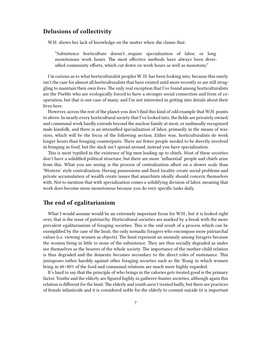#### <span id="page-6-0"></span>**Delusions of collectivity**

W.H. shows her lack of knowledge on the matter when she claims that:

"Subsistence horticulture doesn't…require specialization of labor, or long monotonous work hours. The most effective methods have always been diversified community efforts, which cut down on work hours as well as monotony."

I'm curious as to what horticulturalist peoples W. H. has been looking into, because this surely isn't the case for almost all horticulturalists that have existed until more recently or are still struggling to maintain their own lives. The only real exception that I've found among horticulturalists are the Pueblo who are ecologically forced to have a stronger social connection and form of cooperation, but that is one case of many, and I'm not interested in getting into details about their lives here.

However, across the rest of the planet you don't find this kind of odd example that W.H. points to above. In nearly every horticultural society that I've looked into, the fields are privately owned, and communal work hardly extends beyond the nuclear family at most, or unilineally recognized male kinsfolk, and there is an intensified specialization of labor, primarily in the means of warriors, which will be the focus of the following section. Either way, horticulturalists do work longer hours than foraging counterparts. There are fewer people needed to be directly involved in bringing in food, but the slack isn't spread around, instead you have specialization.

This is most typified in the existence of big men leading up to chiefs. Most of these societies don't have a solidified political structure, but there are more 'influential' people and chiefs arise from this. What you are seeing is the process of centralization albeit on a slower scale than 'Western' style centralization. Having possessions and fixed locality create social problems and private accumulation of wealth create issues that anarchists ideally should concern themselves with. Not to mention that with specialization comes a solidifying division of labor, meaning that work does become more monotonous because you do very specific tasks daily.

### <span id="page-6-1"></span>**The end of egalitarianism**

What I would assume would be an extremely important focus for W.H., but it is looked right over, that is the issue of patriarchy. Horticultural societies are marked by a break with the more prevalent egalitarianism of foraging societies. This is the end result of a process which can be exemplified by the case of the Inuit, the only nomadic foragers who encompass more patriarchal values (i.e. viewing women as objects). The Inuit represent an anomaly among foragers because the women bring in little to none of the subsistence. They are thus socially degraded as males see themselves as the bearers of the whole society. The importance of the mother-child relation is thus degraded and the domestic becomes secondary to the direct roles of sustenance. This juxtaposes rather harshly against other foraging societies such as the !Kung in which women bring in 60–80% of the food and communal relations are much more highly regarded.

It's hard to say that the principle of who brings in the calories gets treated good is the primary factor. Youths and the elderly are figured highly in gatherer-hunter societies, although again this relation is different for the Inuit. The elderly and youth aren't treated badly, but there are practices of female infanticide and it is considered noble for the elderly to commit suicide (it is important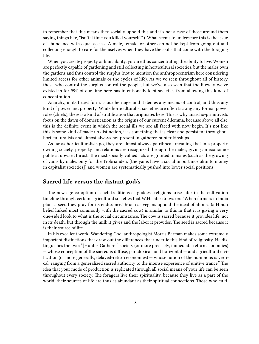to remember that this means they socially uphold this and it's not a case of those around them saying things like, "isn't it time you killed yourself?"). What seems to underscore this is the issue of abundance with equal access. A male, female, or other can not be kept from going out and collecting enough to care for themselves when they have the skills that come with the foraging life.

When you create property or limit ability, you are thus concentrating the ability to live. Women are perfectly capable of gardening and still collecting in horticultural societies, but the males own the gardens and thus control the surplus (not to mention the anthropocentrism here considering limited access for other animals or the cycles of life). As we've seen throughout all of history, those who control the surplus control the people, but we've also seen that the lifeway we've existed in for 99% of our time here has intentionally kept societies from allowing this kind of concentration.

Anarchy, in its truest form, is our heritage, and it denies any means of control, and thus any kind of power and property. While horticulturalist societies are often lacking any formal power roles (chiefs), there is a kind of stratification that originates here. This is why anarcho-primitivists focus on the dawn of domestication as the origins of our current dilemma, because above all else, this is the definite event in which the social ills we are all faced with now begin. It's not like this is some kind of made up distinction, it is something that is clear and persistent throughout horticulturalists and almost always not present in gatherer-hunter kinships.

As far as horticulturalists go, they are almost always patrilineal, meaning that in a property owning society, property and relations are recognized through the males, giving an economicpolitical upward thrust. The most socially valued acts are granted to males (such as the growing of yams by males only for the Trobrianders [the yams have a social importance akin to money in capitalist societies]) and women are systematically pushed into lower social positions.

#### <span id="page-7-0"></span>**Sacred life versus the distant god/s**

The new age co-option of such traditions as goddess religions arise later in the cultivation timeline through certain agricultural societies that W.H. later draws on: "When farmers in India plant a seed they pray for its endurance." Much as vegans uphold the ideal of ahimsa (a Hindu belief linked most commonly with the sacred cow) is similar to this in that it is giving a very one-sided look to what is the social circumstance. The cow is sacred because it provides life, not in its death, but through the milk it gives and the labor it provides. The seed is sacred because it is their source of life.

In his excellent work, Wandering God, anthropologist Morris Berman makes some extremely important distinctions that draw out the differences that underlie this kind of religiosity. He distinguishes the two: "[Hunter-Gatherer] society (or more precisely, immediate-return economies) — whose conception of the sacred is diffuse, paradoxical, and horizontal — and agricultural civilization (or more generally, delayed-return economies) — whose notion of the numinous is vertical, ranging from a generalized sacred authority to the intense experience of unitive trance." The idea that your mode of production is replicated through all social means of your life can be seen throughout every society. The foragers live their spirituality, because they live as a part of the world, their sources of life are thus as abundant as their spiritual connections. Those who culti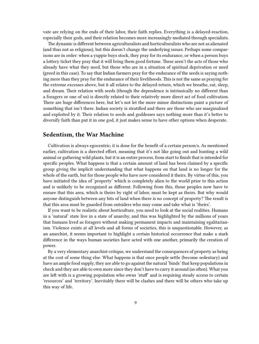vate are relying on the ends of their labor, their faith replies. Everything is a delayed-reaction, especially their gods, and their relation becomes more increasingly mediated through specialists.

The dynamic is different between agriculturalists and horticulturalists who are not as alienated (and thus not as religious), but this doesn't change the underlying issues. Perhaps some comparisons are in order: when a yuppie buys stock, they pray for its endurance, or when a person buys a lottery ticket they pray that it will bring them good fortune. These aren't the acts of those who already have what they need, but those who are in a situation of spiritual deprivation or need (greed in this case). To say that Indian farmers pray for the endurance of the seeds is saying nothing more than they pray for the endurance of their livelihoods. This is not the same as praying for the extreme excesses above, but it all relates to the delayed-return, which we breathe, eat, sleep, and dream. Their relation with seeds (though the dependence is intrinsically no different than a foragers or one of us) is directly related to their relatively more direct act of food cultivation. There are huge differences here, but let's not let the more minor distinctions paint a picture of something that isn't there. Indian society is stratified and there are those who are marginalized and exploited by it. Their relation to seeds and goddesses says nothing more than it's better to diversify faith than put it in one god, it just makes sense to have other options when desperate.

#### <span id="page-8-0"></span>**Sedentism, the War Machine**

Cultivation is always egocentric; it is done for the benefit of a certain person/s. As mentioned earlier, cultivation is a directed effort, meaning that it's not like going out and hunting a wild animal or gathering wild plants, but it is an entire process, from start to finish that is intended for specific peoples. What happens is that a certain amount of land has been claimed by a specific group giving the implicit understanding that what happens on that land is no longer for the whole of the earth, but for those people who have now considered it theirs. By virtue of this, you have initiated the idea of 'property' which is completely alien to the world prior to this action and is unlikely to be recognized as different. Following from this, those peoples now have to ensure that this area, which is theirs by right of labor, must be kept as theirs. But why would anyone distinguish between any bits of land when there is no concept of property? The result is that this area must be guarded from outsiders who may come and take what is 'theirs'.

If you want to be realistic about horticulture, you need to look at the social realities. Humans in a 'natural' state live in a state of anarchy, and this was highlighted by the millions of years that humans lived as foragers without making permanent impacts and maintaining egalitarianism. Violence exists at all levels and all forms of societies, this is unquestionable. However, as an anarchist, it seems important to highlight a certain historical occurrence that make a stark difference in the ways human societies have acted with one another, primarily the creation of power.

By a very elementary anarchist critique, we understand the consequences of property as being at the cost of some thing else. What happens is that once people settle (become sedentary) and have an ample food supply, they are able to go against the natural 'binds' that keep populations in check and they are able to own more since they don't have to carry it around (as often). What you are left with is a growing population who owns 'stuff' and is requiring steady access to certain 'resources' and 'territory'. Inevitably there will be clashes and there will be others who take up this way of life.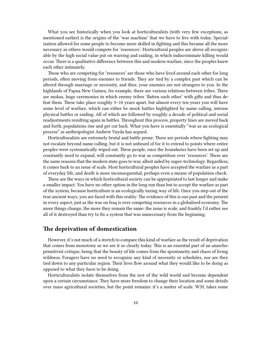What you see historically when you look at horticulturalists (with very few exceptions, as mentioned earlier) is the origins of the 'war machine' that we have to live with today. Specialization allowed for some people to become more skilled in fighting and this became all the more necessary as others would compete for 'resources'. Horticultural peoples are above all recognizable by the high social value put on warring and raiding, in which indiscriminate killing would occur. There is a qualitative difference between this and modern warfare, since the peoples knew each other intimately.

Those who are competing for 'resources' are those who have lived around each other for long periods, often moving from enemies to friends. They are tied by a complex past which can be altered through marriage or necessity, and thus, your enemies are not strangers to you. In the highlands of Papua New Guinea, for example, there are various relations between tribes. There are mokas, huge ceremonies in which enemy tribes 'flatten each other' with gifts and thus defeat them. These take place roughly 3–10 years apart, but almost every ten years you will have some level of warfare, which can either be mock battles highlighted by name calling, intense physical battles or raiding. All of which are followed by roughly a decade of political and social readjustments resulting again in battles. Throughout this process, property lines are moved back and forth, populations rise and get cut back. What you have is essentially "war as an ecological process" as anthropologist Andrew Vayda has argued.

Horticulturalists are extremely brutal and battle prone. There are periods where fighting may not escalate beyond name calling, but it is not unheard of for it to extend to points where entire peoples were systematically wiped out. These people, once the boundaries have been set up and constantly need to expand, will constantly go to war as competition over 'resources'. These are the same reasons that the modern state goes to war, albeit aided by super-technology. Regardless, it comes back to an issue of scale. Most horticultural peoples have accepted the warfare as a part of everyday life, and death is more inconsequential, perhaps even a means of population check.

These are the ways in which horticultural society can be appropriated to last longer and make a smaller impact. You have no other option in the long run than but to accept the warfare as part of the system, because horticulture is an ecologically taxing way of life. Once you step out of the true ancient ways, you are faced with this reality. The evidence of this is our past and the present in every aspect, just as the war on Iraq is over competing resources in a globalized economy. The more things change, the more they remain the same: the issue is scale, and frankly I'd rather see all of it destroyed than try to fix a system that was unnecessary from the beginning.

#### <span id="page-9-0"></span>**The deprivation of domestication**

However, it's not much of a stretch to compare this kind of warfare as the result of deprivation that comes from monotony as we see it so clearly today. This is an essential part of an anarchoprimitivist critique, being that the beauty of life comes from the spontaneity and chaos of living wildness. Foragers have no need to recognize any kind of necessity or schedules, nor are they tied down to any particular region. Their lives flow around what they would like to be doing as opposed to what they have to be doing.

Horticulturalists isolate themselves from the rest of the wild world and become dependent upon a certain circumstance. They have more freedom to change their location and some details over mass agricultural societies, but the point remains: it's a matter of scale. W.H. takes some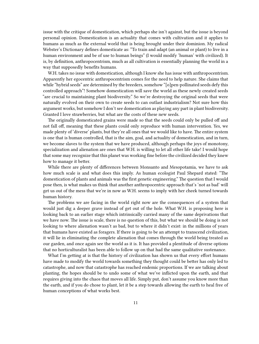issue with the critique of domestication, which perhaps she isn't against, but the issue is beyond personal opinion. Domestication is an actuality that comes with cultivation and it applies to humans as much as the external world that is being brought under their dominion. My radical Webster's Dictionary defines domesticate as: "To train and adapt (an animal or plant) to live in a human environment and be of use to human beings" (I would modify 'human' with civilized). It is, by definition, anthropocentrism, much as all cultivation is essentially planning the world in a way that supposedly benefits humans.

W.H. takes no issue with domestication, although I know she has issue with anthropocentrism. Apparently her egocentric anthropocentrism comes for the need to help nature. She claims that while "hybrid seeds" are determined by the breeders, somehow "[o]pen-pollinated seeds defy this controlled approach"! Somehow domestication will save the world as these newly created seeds "are crucial to maintaining plant biodiversity." So we're destroying the original seeds that were naturally evolved on their own to create seeds to can outlast industrialism? Not sure how this argument works, but somehow I don't see domestication as playing any part in plant biodiversity. Granted I love strawberries, but what are the costs of these new seeds.

The originally domesticated grains were made so that the seeds could only be pulled off and not fall off, meaning that these plants could only reproduce with human intervention. Yes, we made plenty of 'diverse' plants, but they're all ones that we would like to have. The entire system is one that is human controlled, that is the aim, goal, and actuality of domestication, and in turn, we become slaves to the system that we have produced, although perhaps the joys of monotony, specialization and alienation are ones that W.H. is willing to let all other life take! I would hope that some may recognize that this planet was working fine before the civilized decided they knew how to manage it better.

While there are plenty of differences between Monsanto and Mesopotamia, we have to ask how much scale is and what does this imply. As human ecologist Paul Shepard stated: "The domestication of plants and animals was the first genetic engineering." The question that I would pose then, is what makes us think that another anthropocentric approach that's 'not as bad' will get us out of the mess that we're in now as W.H. seems to imply with her cheek turned towards human history.

The problems we are facing in the world right now are the consequences of a system that would just dig a deeper grave instead of get out of the hole. What W.H. is proposing here is looking back to an earlier stage which intrinsically carried many of the same deprivations that we have now. The issue is scale, there is no question of this, but what we should be doing is not looking to where alienation wasn't as bad, but to where it didn't exist: in the millions of years that humans have existed as foragers. If there is going to be an attempt to transcend civilization, it will lie in eliminating the complete alienation that comes through the world being treated as our garden, and once again see the world as it is. It has provided a plentitude of diverse options that no horticulturalist has been able to follow up on that had the same qualitative sustenance.

What I'm getting at is that the history of civilization has shown us that every effort humans have made to modify the world towards something they thought could be better has only led to catastrophe, and now that catastrophe has reached endemic proportions. If we are talking about planting, the hopes should be to undo some of what we've inflicted upon the earth, and that requires giving into the chaos that moves all life. Simply put, don't assume you know more than the earth, and if you do chose to plant, let it be a step towards allowing the earth to heal free of human conceptions of what works best.